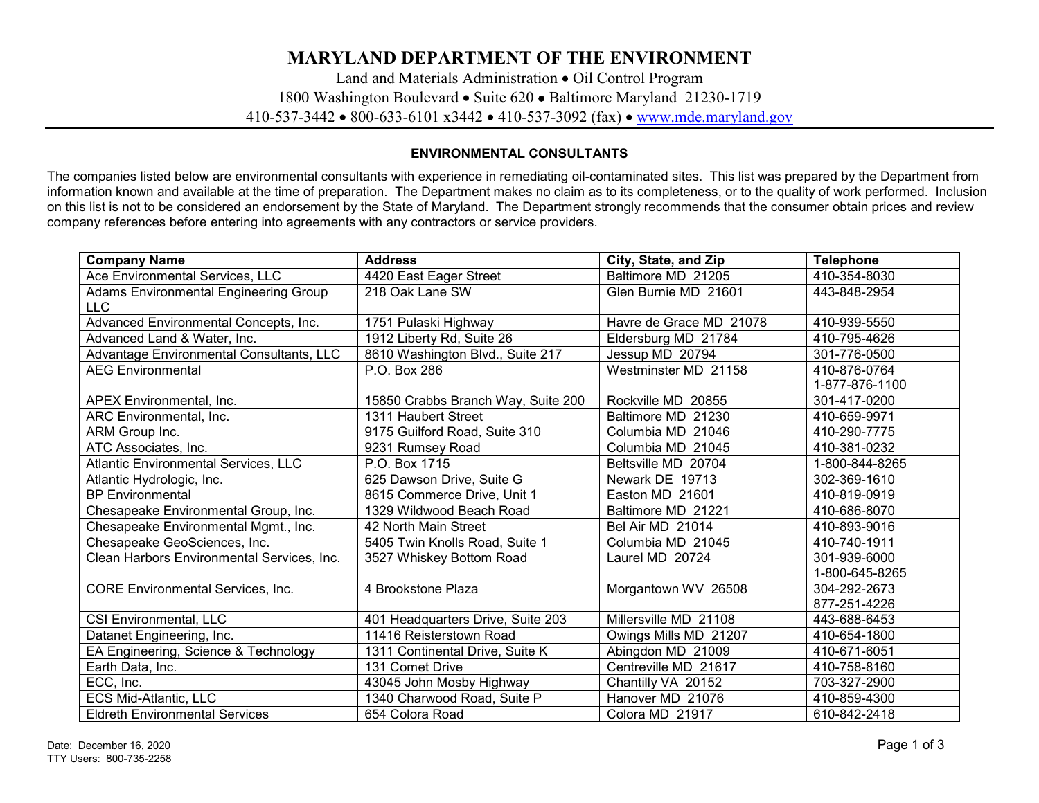## **MARYLAND DEPARTMENT OF THE ENVIRONMENT**

Land and Materials Administration • Oil Control Program 1800 Washington Boulevard • Suite 620 • Baltimore Maryland 21230-1719 410-537-3442 • 800-633-6101 x3442 • 410-537-3092 (fax) • [www.mde.maryland.gov](http://www.mde.maryland.gov/)

## **ENVIRONMENTAL CONSULTANTS**

The companies listed below are environmental consultants with experience in remediating oil-contaminated sites. This list was prepared by the Department from information known and available at the time of preparation. The Department makes no claim as to its completeness, or to the quality of work performed. Inclusion on this list is not to be considered an endorsement by the State of Maryland. The Department strongly recommends that the consumer obtain prices and review company references before entering into agreements with any contractors or service providers.

| <b>Company Name</b>                         | <b>Address</b>                     | City, State, and Zip    | <b>Telephone</b> |
|---------------------------------------------|------------------------------------|-------------------------|------------------|
| Ace Environmental Services, LLC             | 4420 East Eager Street             | Baltimore MD 21205      | 410-354-8030     |
| Adams Environmental Engineering Group       | 218 Oak Lane SW                    | Glen Burnie MD 21601    | 443-848-2954     |
| <b>LLC</b>                                  |                                    |                         |                  |
| Advanced Environmental Concepts, Inc.       | 1751 Pulaski Highway               | Havre de Grace MD 21078 | 410-939-5550     |
| Advanced Land & Water, Inc.                 | 1912 Liberty Rd, Suite 26          | Eldersburg MD 21784     | 410-795-4626     |
| Advantage Environmental Consultants, LLC    | 8610 Washington Blvd., Suite 217   | Jessup MD 20794         | 301-776-0500     |
| <b>AEG Environmental</b>                    | P.O. Box 286                       | Westminster MD 21158    | 410-876-0764     |
|                                             |                                    |                         | 1-877-876-1100   |
| APEX Environmental, Inc.                    | 15850 Crabbs Branch Way, Suite 200 | Rockville MD 20855      | 301-417-0200     |
| ARC Environmental, Inc.                     | 1311 Haubert Street                | Baltimore MD 21230      | 410-659-9971     |
| ARM Group Inc.                              | 9175 Guilford Road, Suite 310      | Columbia MD 21046       | 410-290-7775     |
| ATC Associates, Inc.                        | 9231 Rumsey Road                   | Columbia MD 21045       | 410-381-0232     |
| <b>Atlantic Environmental Services, LLC</b> | P.O. Box 1715                      | Beltsville MD 20704     | 1-800-844-8265   |
| Atlantic Hydrologic, Inc.                   | 625 Dawson Drive, Suite G          | Newark DE 19713         | 302-369-1610     |
| <b>BP</b> Environmental                     | 8615 Commerce Drive, Unit 1        | Easton MD 21601         | 410-819-0919     |
| Chesapeake Environmental Group, Inc.        | 1329 Wildwood Beach Road           | Baltimore MD 21221      | 410-686-8070     |
| Chesapeake Environmental Mgmt., Inc.        | 42 North Main Street               | Bel Air MD 21014        | 410-893-9016     |
| Chesapeake GeoSciences, Inc.                | 5405 Twin Knolls Road, Suite 1     | Columbia MD 21045       | 410-740-1911     |
| Clean Harbors Environmental Services, Inc.  | 3527 Whiskey Bottom Road           | Laurel MD 20724         | 301-939-6000     |
|                                             |                                    |                         | 1-800-645-8265   |
| <b>CORE Environmental Services, Inc.</b>    | 4 Brookstone Plaza                 | Morgantown WV 26508     | 304-292-2673     |
|                                             |                                    |                         | 877-251-4226     |
| <b>CSI Environmental, LLC</b>               | 401 Headquarters Drive, Suite 203  | Millersville MD 21108   | 443-688-6453     |
| Datanet Engineering, Inc.                   | 11416 Reisterstown Road            | Owings Mills MD 21207   | 410-654-1800     |
| EA Engineering, Science & Technology        | 1311 Continental Drive, Suite K    | Abingdon MD 21009       | 410-671-6051     |
| Earth Data, Inc.                            | 131 Comet Drive                    | Centreville MD 21617    | 410-758-8160     |
| ECC, Inc.                                   | 43045 John Mosby Highway           | Chantilly VA 20152      | 703-327-2900     |
| ECS Mid-Atlantic, LLC                       | 1340 Charwood Road, Suite P        | Hanover MD 21076        | 410-859-4300     |
| <b>Eldreth Environmental Services</b>       | 654 Colora Road                    | Colora MD 21917         | 610-842-2418     |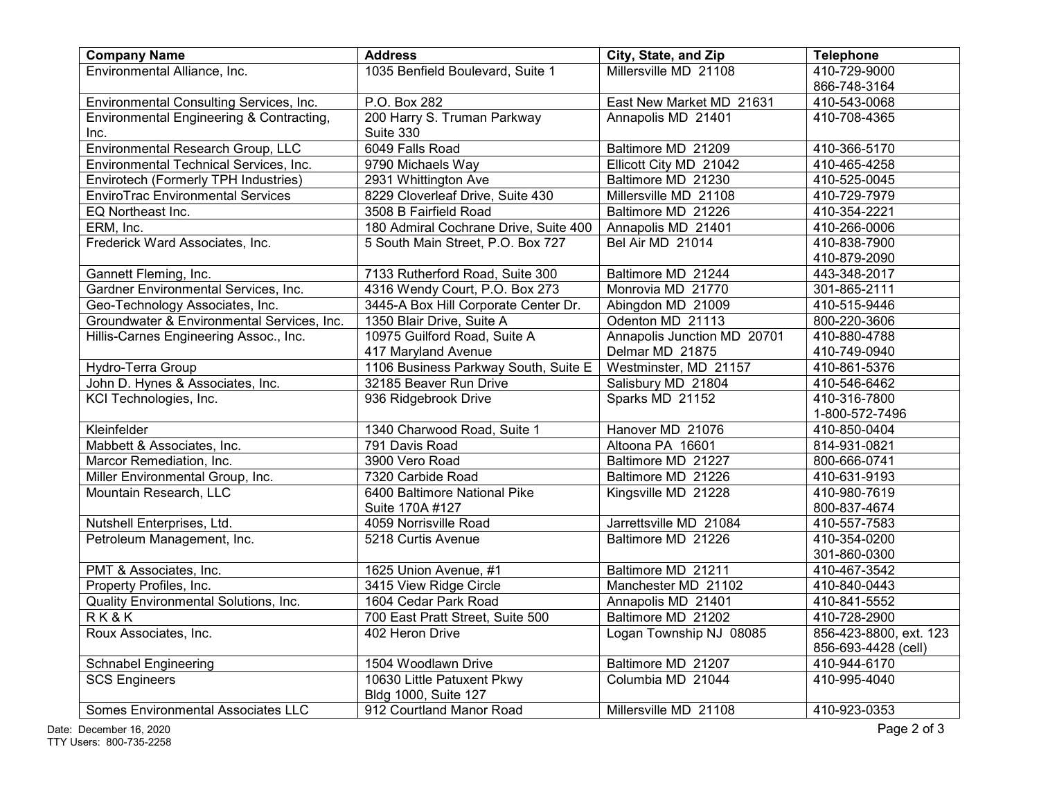| <b>Company Name</b>                        | <b>Address</b>                        | City, State, and Zip        | <b>Telephone</b>       |
|--------------------------------------------|---------------------------------------|-----------------------------|------------------------|
| Environmental Alliance, Inc.               | 1035 Benfield Boulevard, Suite 1      | Millersville MD 21108       | 410-729-9000           |
|                                            |                                       |                             | 866-748-3164           |
| Environmental Consulting Services, Inc.    | P.O. Box 282                          | East New Market MD 21631    | 410-543-0068           |
| Environmental Engineering & Contracting,   | 200 Harry S. Truman Parkway           | Annapolis MD 21401          | 410-708-4365           |
| Inc.                                       | Suite 330                             |                             |                        |
| Environmental Research Group, LLC          | 6049 Falls Road                       | Baltimore MD 21209          | 410-366-5170           |
| Environmental Technical Services, Inc.     | 9790 Michaels Way                     | Ellicott City MD 21042      | 410-465-4258           |
| Envirotech (Formerly TPH Industries)       | 2931 Whittington Ave                  | Baltimore MD 21230          | 410-525-0045           |
| <b>EnviroTrac Environmental Services</b>   | 8229 Cloverleaf Drive, Suite 430      | Millersville MD 21108       | 410-729-7979           |
| EQ Northeast Inc.                          | 3508 B Fairfield Road                 | Baltimore MD 21226          | 410-354-2221           |
| ERM, Inc.                                  | 180 Admiral Cochrane Drive, Suite 400 | Annapolis MD 21401          | 410-266-0006           |
| Frederick Ward Associates, Inc.            | 5 South Main Street, P.O. Box 727     | Bel Air MD 21014            | 410-838-7900           |
|                                            |                                       |                             | 410-879-2090           |
| Gannett Fleming, Inc.                      | 7133 Rutherford Road, Suite 300       | Baltimore MD 21244          | 443-348-2017           |
| Gardner Environmental Services, Inc.       | 4316 Wendy Court, P.O. Box 273        | Monrovia MD 21770           | 301-865-2111           |
| Geo-Technology Associates, Inc.            | 3445-A Box Hill Corporate Center Dr.  | Abingdon MD 21009           | 410-515-9446           |
| Groundwater & Environmental Services, Inc. | 1350 Blair Drive, Suite A             | Odenton MD 21113            | 800-220-3606           |
| Hillis-Carnes Engineering Assoc., Inc.     | 10975 Guilford Road, Suite A          | Annapolis Junction MD 20701 | 410-880-4788           |
|                                            | 417 Maryland Avenue                   | Delmar MD 21875             | 410-749-0940           |
| Hydro-Terra Group                          | 1106 Business Parkway South, Suite E  | Westminster, MD 21157       | 410-861-5376           |
| John D. Hynes & Associates, Inc.           | 32185 Beaver Run Drive                | Salisbury MD 21804          | 410-546-6462           |
| KCI Technologies, Inc.                     | 936 Ridgebrook Drive                  | Sparks MD 21152             | 410-316-7800           |
|                                            |                                       |                             | 1-800-572-7496         |
| Kleinfelder                                | 1340 Charwood Road, Suite 1           | Hanover MD 21076            | 410-850-0404           |
| Mabbett & Associates, Inc.                 | 791 Davis Road                        | Altoona PA 16601            | 814-931-0821           |
| Marcor Remediation, Inc.                   | 3900 Vero Road                        | Baltimore MD 21227          | 800-666-0741           |
| Miller Environmental Group, Inc.           | 7320 Carbide Road                     | Baltimore MD 21226          | 410-631-9193           |
| Mountain Research, LLC                     | 6400 Baltimore National Pike          | Kingsville MD 21228         | 410-980-7619           |
|                                            | Suite 170A #127                       |                             | 800-837-4674           |
| Nutshell Enterprises, Ltd.                 | 4059 Norrisville Road                 | Jarrettsville MD 21084      | 410-557-7583           |
| Petroleum Management, Inc.                 | 5218 Curtis Avenue                    | Baltimore MD 21226          | 410-354-0200           |
|                                            |                                       |                             | 301-860-0300           |
| PMT & Associates, Inc.                     | 1625 Union Avenue, #1                 | Baltimore MD 21211          | 410-467-3542           |
| Property Profiles, Inc.                    | 3415 View Ridge Circle                | Manchester MD 21102         | 410-840-0443           |
| Quality Environmental Solutions, Inc.      | 1604 Cedar Park Road                  | Annapolis MD 21401          | 410-841-5552           |
| RK&K                                       | 700 East Pratt Street, Suite 500      | Baltimore MD 21202          | 410-728-2900           |
| Roux Associates, Inc.                      | 402 Heron Drive                       | Logan Township NJ 08085     | 856-423-8800, ext. 123 |
|                                            |                                       |                             | 856-693-4428 (cell)    |
| <b>Schnabel Engineering</b>                | 1504 Woodlawn Drive                   | Baltimore MD 21207          | 410-944-6170           |
| <b>SCS Engineers</b>                       | 10630 Little Patuxent Pkwy            | Columbia MD 21044           | 410-995-4040           |
|                                            | Bldg 1000, Suite 127                  |                             |                        |
| <b>Somes Environmental Associates LLC</b>  | 912 Courtland Manor Road              | Millersville MD 21108       | 410-923-0353           |